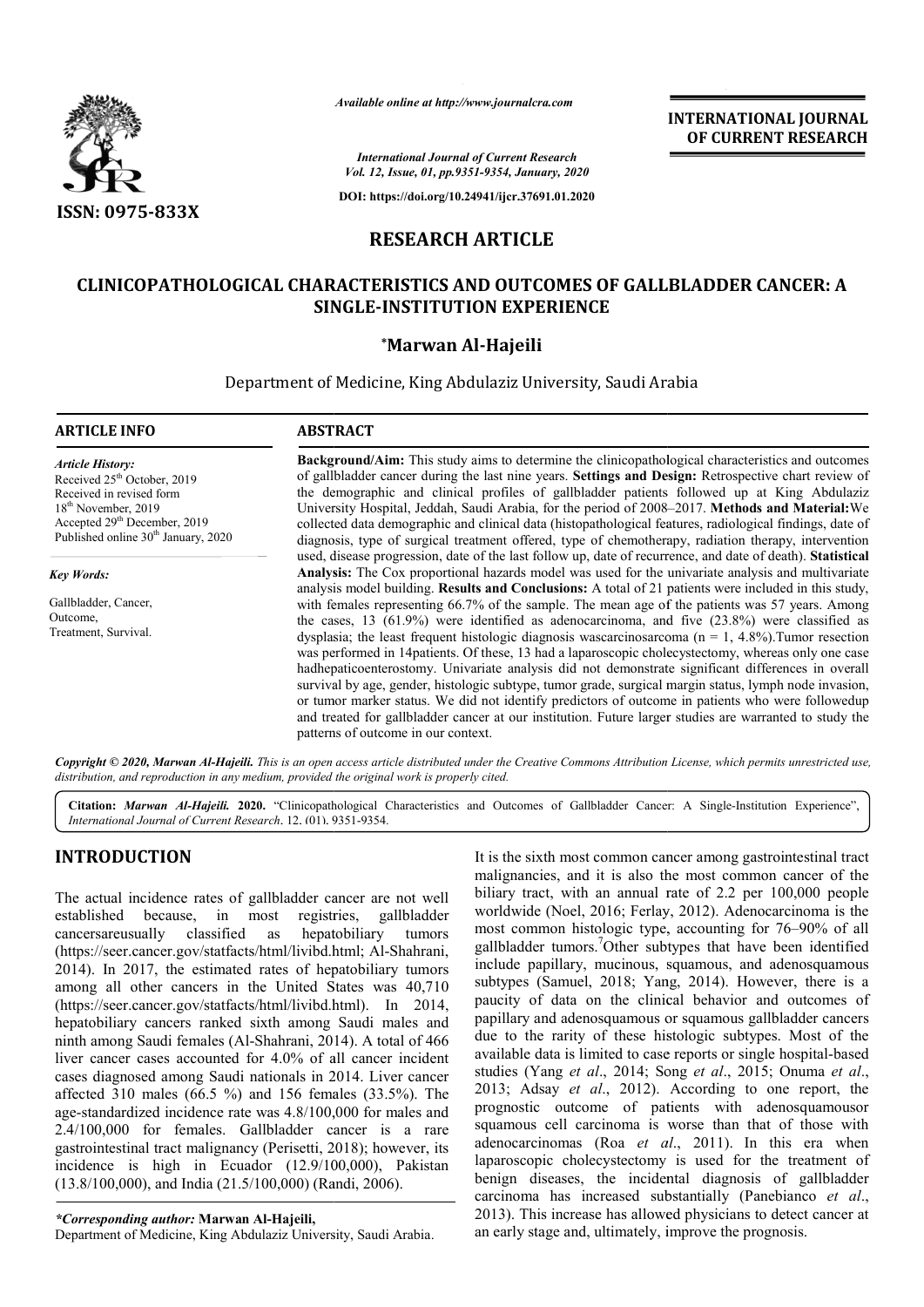

*Available online at http://www.journalcra.com*

**INTERNATIONAL JOURNAL OF CURRENT RESEARCH**

*International Journal of Current Research Vol. 12, Issue, 01, pp.9351-9354, January, 2020*

**DOI: https://doi.org/10.24941/ijcr.37691.01.2020**

# **RESEARCH ARTICLE**

# **CLINICOPATHOLOGICAL CHARACTERISTICS AND OUTCOMES OF GALLBLADDER CANCER: A CLINICOPATHOLOGICAL CHARACTERISTICS SINGLE SINGLE-INSTITUTION EXPERIENCE**

## **\*Marwan Al-Hajeili**

Department of Medicine, King Abdulaziz University, Saudi Arabia

#### **ARTICLE INFO ABSTRACT Background/Aim:**  This study aims to determine the clinicopathological characteristics and outcomes Background/Aim: This study aims to determine the clinicopathological characteristics and outcomes of gallbladder cancer during the last nine years. Settings and Design: Retrospective chart review of the demographic and clinical profiles of gallbladder patients followed up at King Abdulaziz the demographic and clinical profiles of gallbladder patients followed up at King Abdulaziz<br>University Hospital, Jeddah, Saudi Arabia, for the period of 2008–2017. **Methods and Material:**We *Article History:* Received 25<sup>th</sup> October, 2019 Received in revised form 18<sup>th</sup> November, 2019 Accepted 29<sup>th</sup> December, 2019 Published online 30<sup>th</sup> January, 2020 *Key Words:*

Gallbladder, Cancer, Outcome, Treatment, Survival.

collected data demographic and clinical data (histopathological features, radiological findings, date of diagnosis, type of surgical treatment offered, type of chemotherapy, radiation therapy, intervention collected data demographic and clinical data (histopathological features, radiological findings, date of diagnosis, type of surgical treatment offered, type of chemotherapy, radiation therapy, intervention used, disease pr **Analysis:**  The Cox proportional hazards model was used for the univariate analysis and multivariate analysis model building. **Results and Conclusions:** A total of 21 patients were included in this study, with females representing 66.7% of the sample. The mean age of the patients was 57 years. Among the cases, 13 (61.9%) were identified as adenocarcinoma, and five (23.8%) were classified as dysplasia; the least frequent histologic diagnosis wascarcinosarcoma ( $n = 1, 4.8\%$ ).Tumor resection was performed in 14patients. Of these, 13 had a laparoscopic cholecystectomy, whereas only one case hadhepaticoenterostomy. Univariate analysis did not demonstrate significant differences in overall was performed in 14patients. Of these, 13 had a laparoscopic cholecystectomy, whereas only one case hadhepaticoenterostomy. Univariate analysis did not demonstrate significant differences in overall survival by age, gender or tumor marker status. We did not identify predictors of outcome in patients who were followedup and treated for gallbladder cancer at our institution. Future larger studies are warranted to study the patterns of outcome in our context. **Analysis:** The Cox proportional hazards model was used for the univariate analysis and multivariate analysis model building. **Results and Conclusions:** A total of 21 patients were included in this study, with females rep

Copyright © 2020, Marwan Al-Hajeili. This is an open access article distributed under the Creative Commons Attribution License, which permits unrestricted use, *distribution, and reproduction in any medium, provided the original work is properly cited.*

Citation: Marwan Al-Hajeili. 2020. "Clinicopathological Characteristics and Outcomes of Gallbladder Cancer: A Single-Institution Experience", *International Journal of Current Research*, 12, (01), 9351 Clinicopathological 9351-9354.

# **INTRODUCTION**

The actual incidence rates of gallbladder cancer are not well established because, in most registries, gallbladder cancersareusually classified as hepatobiliary tumors (https://seer.cancer.gov/statfacts/html/livibd.html; Al-Shahrani, 2014). In 2017, the estimated rates of hepatobiliary tumors among all other cancers in the United States was 40,710 (https://seer.cancer.gov/statfacts/html/livibd.html hepatobiliary cancers ranked sixth among Saudi males and ninth among Saudi females (Al-Shahrani, 2014) Shahrani, 2014). A total of 466 liver cancer cases accounted for 4.0% of all cancer incident cases diagnosed among Saudi nationals in 2014. Liver cancer affected 310 males (66.5 %) and 156 females (33.5%). The age-standardized incidence rate was 4.8/100,000 for males and age-standardized incidence rate was 4.8/100,000 for males and 2.4/100,000 for females. Gallbladder cancer is a rare gastrointestinal tract malignancy (Perisetti, 2018 , 2018); however, its incidence is high in Ecuador (12.9/100,000), Pakistan (13.8/100,000), and India (21.5/100,000) (Randi Randi, 2006). 2014). In 2017, the estimated rates of hepatobiliary tumors imong all other cancers in the United States was 40,710 https://seer.cancer.gov/statfacts/html/livibd.html). In 2014,

*\*Corresponding author:* **Marwan Al-Hajeili,**

Department of Medicine, King Abdulaziz University, Saudi Arabia Arabia.

It is the sixth most common cancer among gastrointestinal tract malignancies, and it is also the most common cancer of the biliary tract, with an annual rate of 2.2 per 100,000 people It is the sixth most common cancer among gastrointestinal tract<br>malignancies, and it is also the most common cancer of the<br>biliary tract, with an annual rate of 2.2 per 100,000 people<br>worldwide (Noel, 2016; Ferlay, 2012). most common histologic type, accounting for 76–90% of all gallbladder tumors.<sup>7</sup>Other subtypes that have been identified include papillary, mucinous, squamous, and adenosquamous subtypes (Samuel, 2018; Yang, 2014). However, there is a paucity of data on the clinical behavior and outcomes of papillary and adenosquamous or squamous gallbladder cancers<br>due to the rarity of these histologic subtypes. Most of the<br>available data is limited to case reports or single hospital-based due to the rarity of these histologic subtypes. Most of the available data is limited to case reports or single hospi studies (Yang et al., 2014; Song et al., 2015; Onuma et al., 2013; Adsay *et al*., 2012). According to one report, the prognostic outcome of patients with adenosquamousor squamous cell carcinoma is worse than that of those with prognostic outcome of patients with adenosquamous requamous cell carcinoma is worse than that of those with adenocarcinomas (Roa *et al.*, 2011). In this era when laparoscopic cholecystectomy is used for the treatment of benign diseases, the incidental diagnosis of gallbladder carcinoma has increased substantially (Panebianco *et al*., 2013). This increase has allowed physicians to detect cancer at an early stage and, ultimately, improve the prognosis. INTERNATIONAL JOURNAL<br> **ENGERENT INTERNATIONAL SERVICUS (SERVICUS CONTEXT)**<br> **ENGERENT INTERNATIONAL SERVICUS (SERVICUS CONTEXT)**<br> **EVALUATELY (SERVICUS CONTEST)**<br> **EVALUATELY (SERVICUS CONTEST)**<br> **EVALUATELY (SERVICUS CON**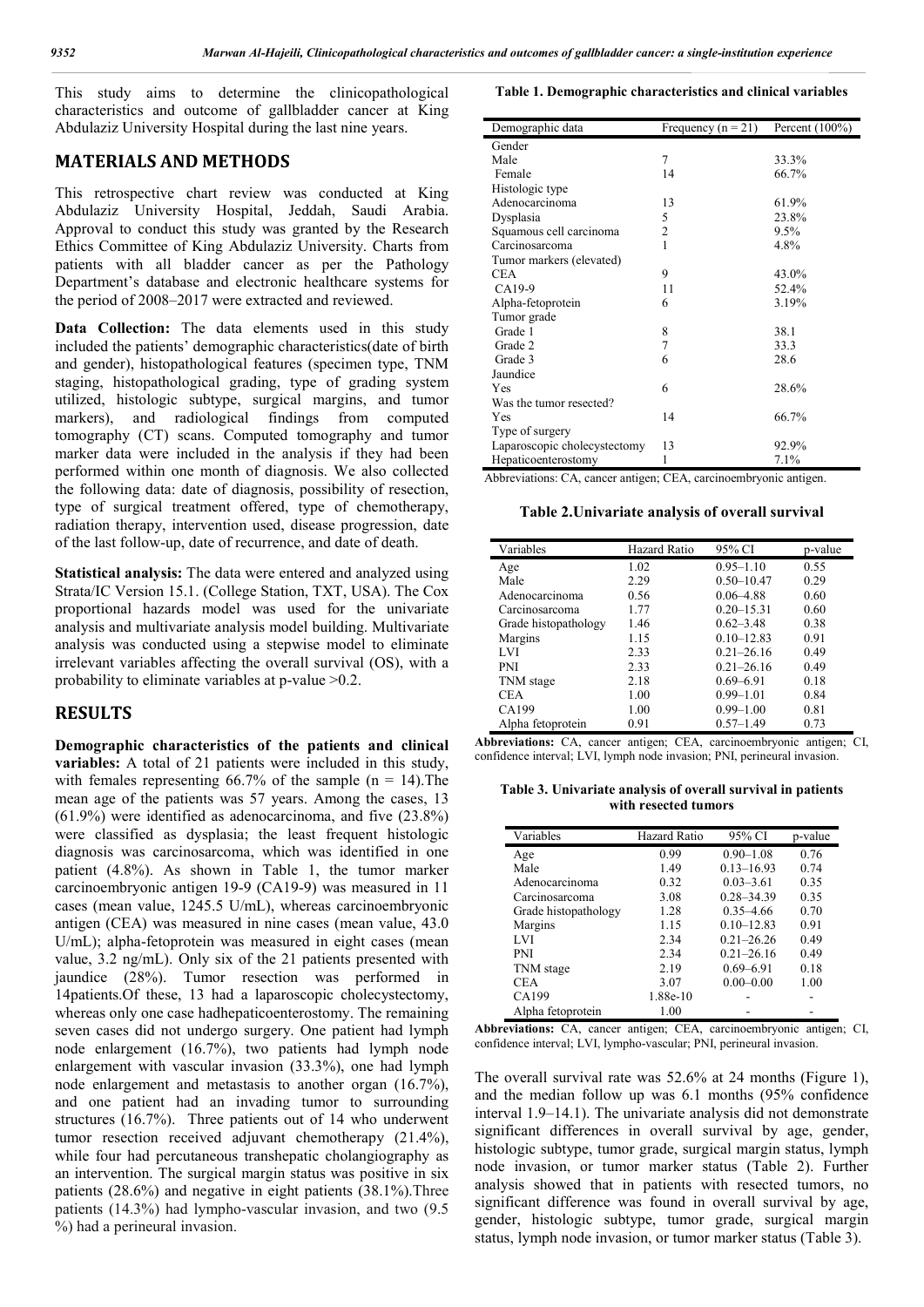This study aims to determine the clinicopathological characteristics and outcome of gallbladder cancer at King Abdulaziz University Hospital during the last nine years.

#### **MATERIALS AND METHODS**

This retrospective chart review was conducted at King Abdulaziz University Hospital, Jeddah, Saudi Arabia. Approval to conduct this study was granted by the Research Ethics Committee of King Abdulaziz University. Charts from patients with all bladder cancer as per the Pathology Department's database and electronic healthcare systems for the period of 2008–2017 were extracted and reviewed.

**Data Collection:** The data elements used in this study included the patients' demographic characteristics(date of birth and gender), histopathological features (specimen type, TNM staging, histopathological grading, type of grading system utilized, histologic subtype, surgical margins, and tumor markers), and radiological findings from computed tomography (CT) scans. Computed tomography and tumor marker data were included in the analysis if they had been performed within one month of diagnosis. We also collected the following data: date of diagnosis, possibility of resection, type of surgical treatment offered, type of chemotherapy, radiation therapy, intervention used, disease progression, date of the last follow-up, date of recurrence, and date of death.

**Statistical analysis:** The data were entered and analyzed using Strata/IC Version 15.1. (College Station, TXT, USA). The Cox proportional hazards model was used for the univariate analysis and multivariate analysis model building. Multivariate analysis was conducted using a stepwise model to eliminate irrelevant variables affecting the overall survival (OS), with a probability to eliminate variables at p-value >0.2.

#### **RESULTS**

**Demographic characteristics of the patients and clinical variables:** A total of 21 patients were included in this study, with females representing 66.7% of the sample  $(n = 14)$ . The mean age of the patients was 57 years. Among the cases, 13 (61.9%) were identified as adenocarcinoma, and five (23.8%) were classified as dysplasia; the least frequent histologic diagnosis was carcinosarcoma, which was identified in one patient (4.8%). As shown in Table 1, the tumor marker carcinoembryonic antigen 19-9 (CA19-9) was measured in 11 cases (mean value, 1245.5 U/mL), whereas carcinoembryonic antigen (CEA) was measured in nine cases (mean value, 43.0 U/mL); alpha-fetoprotein was measured in eight cases (mean value, 3.2 ng/mL). Only six of the 21 patients presented with jaundice (28%). Tumor resection was performed in 14patients.Of these, 13 had a laparoscopic cholecystectomy, whereas only one case hadhepaticoenterostomy. The remaining seven cases did not undergo surgery. One patient had lymph node enlargement (16.7%), two patients had lymph node enlargement with vascular invasion (33.3%), one had lymph node enlargement and metastasis to another organ (16.7%), and one patient had an invading tumor to surrounding structures (16.7%). Three patients out of 14 who underwent tumor resection received adjuvant chemotherapy (21.4%), while four had percutaneous transhepatic cholangiography as an intervention. The surgical margin status was positive in six patients (28.6%) and negative in eight patients (38.1%).Three patients (14.3%) had lympho-vascular invasion, and two (9.5 %) had a perineural invasion.

#### **Table 1. Demographic characteristics and clinical variables**

| Demographic data             | Frequency $(n = 21)$ | Percent $(100\%)$ |
|------------------------------|----------------------|-------------------|
| Gender                       |                      |                   |
| Male                         | 7                    | 33.3%             |
| Female                       | 14                   | 66.7%             |
| Histologic type              |                      |                   |
| Adenocarcinoma               | 13                   | 61.9%             |
| Dysplasia                    | 5                    | 23.8%             |
| Squamous cell carcinoma      | $\overline{c}$       | 9.5%              |
| Carcinosarcoma               | 1                    | 4.8%              |
| Tumor markers (elevated)     |                      |                   |
| <b>CEA</b>                   | 9                    | 43.0%             |
| CA19-9                       | 11                   | 52.4%             |
| Alpha-fetoprotein            | 6                    | 3.19%             |
| Tumor grade                  |                      |                   |
| Grade 1                      | 8                    | 38.1              |
| Grade 2                      | 7                    | 33.3              |
| Grade 3                      | 6                    | 28.6              |
| Jaundice                     |                      |                   |
| <b>Yes</b>                   | 6                    | 28.6%             |
| Was the tumor resected?      |                      |                   |
| Yes                          | 14                   | 66.7%             |
| Type of surgery              |                      |                   |
| Laparoscopic cholecystectomy | 13                   | 92.9%             |
| Hepaticoenterostomy          | 1                    | 7.1%              |

Abbreviations: CA, cancer antigen; CEA, carcinoembryonic antigen.

**Table 2.Univariate analysis of overall survival**

| Variables            | Hazard Ratio | 95% CI         | p-value |
|----------------------|--------------|----------------|---------|
| Age                  | 1.02         | $0.95 - 1.10$  | 0.55    |
| Male                 | 2.29         | $0.50 - 10.47$ | 0.29    |
| Adenocarcinoma       | 0.56         | $0.06 - 4.88$  | 0.60    |
| Carcinosarcoma       | 1.77         | $0.20 - 15.31$ | 0.60    |
| Grade histopathology | 1.46         | $0.62 - 3.48$  | 0.38    |
| Margins              | 1.15         | $0.10 - 12.83$ | 0.91    |
| LVI                  | 2.33         | $0.21 - 26.16$ | 0.49    |
| <b>PNI</b>           | 2.33         | $0.21 - 26.16$ | 0.49    |
| TNM stage            | 2.18         | $0.69 - 6.91$  | 0.18    |
| <b>CEA</b>           | 1.00         | $0.99 - 1.01$  | 0.84    |
| CA199                | 1.00         | $0.99 - 1.00$  | 0.81    |
| Alpha fetoprotein    | 0.91         | $0.57 - 1.49$  | 0.73    |

**Abbreviations:** CA, cancer antigen; CEA, carcinoembryonic antigen; CI, confidence interval; LVI, lymph node invasion; PNI, perineural invasion.

**Table 3. Univariate analysis of overall survival in patients with resected tumors**

| Variables            | Hazard Ratio | 95% CI         | p-value |
|----------------------|--------------|----------------|---------|
| Age                  | 0.99         | $0.90 - 1.08$  | 0.76    |
| Male                 | 1.49         | $0.13 - 16.93$ | 0.74    |
| Adenocarcinoma       | 0.32         | $0.03 - 3.61$  | 0.35    |
| Carcinosarcoma       | 3.08         | $0.28 - 34.39$ | 0.35    |
| Grade histopathology | 1.28         | $0.35 - 4.66$  | 0.70    |
| Margins              | 1.15         | $0.10 - 12.83$ | 0.91    |
| LVI                  | 2.34         | $0.21 - 26.26$ | 0.49    |
| <b>PNI</b>           | 2.34         | $0.21 - 26.16$ | 0.49    |
| TNM stage            | 2.19         | $0.69 - 6.91$  | 0.18    |
| <b>CEA</b>           | 3.07         | $0.00 - 0.00$  | 1.00    |
| CA199                | 1.88e-10     |                |         |
| Alpha fetoprotein    | 1.00         |                |         |

**Abbreviations:** CA, cancer antigen; CEA, carcinoembryonic antigen; CI, confidence interval; LVI, lympho-vascular; PNI, perineural invasion.

The overall survival rate was 52.6% at 24 months (Figure 1), and the median follow up was 6.1 months (95% confidence interval 1.9–14.1). The univariate analysis did not demonstrate significant differences in overall survival by age, gender, histologic subtype, tumor grade, surgical margin status, lymph node invasion, or tumor marker status (Table 2). Further analysis showed that in patients with resected tumors, no significant difference was found in overall survival by age, gender, histologic subtype, tumor grade, surgical margin status, lymph node invasion, or tumor marker status (Table 3).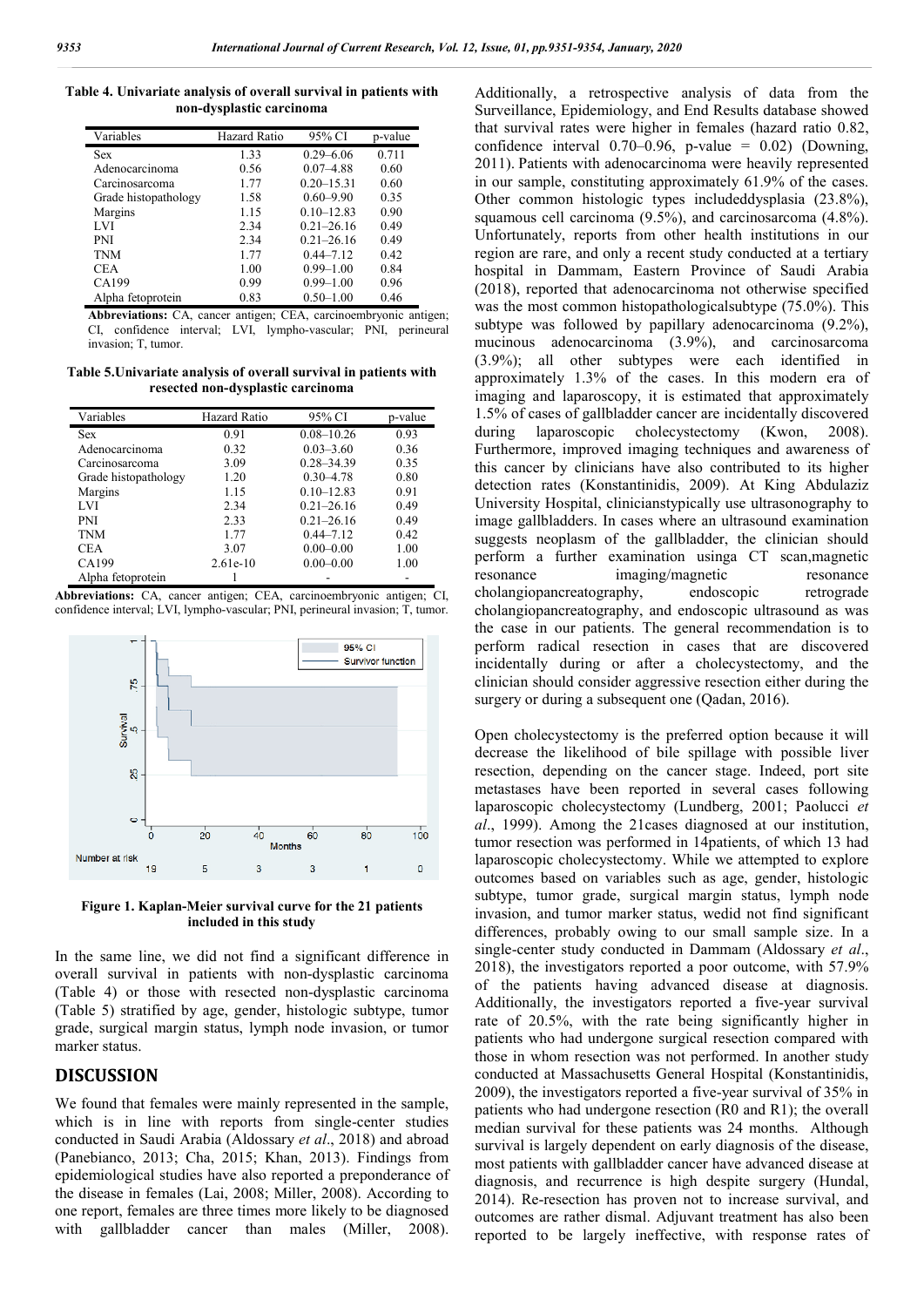**Table 4. Univariate analysis of overall survival in patients with non-dysplastic carcinoma**

| Variables            | Hazard Ratio | 95% CI         | p-value |
|----------------------|--------------|----------------|---------|
| <b>Sex</b>           | 1.33         | $0.29 - 6.06$  | 0.711   |
| Adenocarcinoma       | 0.56         | $0.07 - 4.88$  | 0.60    |
| Carcinosarcoma       | 1.77         | $0.20 - 15.31$ | 0.60    |
| Grade histopathology | 1.58         | $0.60 - 9.90$  | 0.35    |
| Margins              | 1.15         | $0.10 - 12.83$ | 0.90    |
| LVI                  | 2.34         | $0.21 - 26.16$ | 0.49    |
| <b>PNI</b>           | 2.34         | $0.21 - 26.16$ | 0.49    |
| <b>TNM</b>           | 1.77         | $0.44 - 7.12$  | 0.42    |
| <b>CEA</b>           | 1.00         | $0.99 - 1.00$  | 0.84    |
| CA199                | 0.99         | $0.99 - 1.00$  | 0.96    |
| Alpha fetoprotein    | 0.83         | $0.50 - 1.00$  | 0.46    |

**Abbreviations:** CA, cancer antigen; CEA, carcinoembryonic antigen; CI, confidence interval; LVI, lympho-vascular; PNI, perineural invasion; T, tumor.

**Table 5.Univariate analysis of overall survival in patients with resected non-dysplastic carcinoma**

| Variables            | Hazard Ratio | 95% CI         | p-value |
|----------------------|--------------|----------------|---------|
| <b>Sex</b>           | 0.91         | $0.08 - 10.26$ | 0.93    |
| Adenocarcinoma       | 0.32         | $0.03 - 3.60$  | 0.36    |
| Carcinosarcoma       | 3.09         | $0.28 - 34.39$ | 0.35    |
| Grade histopathology | 1.20         | $0.30 - 4.78$  | 0.80    |
| Margins              | 1.15         | $0.10 - 12.83$ | 0.91    |
| LVI                  | 2.34         | $0.21 - 26.16$ | 0.49    |
| <b>PNI</b>           | 2.33         | $0.21 - 26.16$ | 0.49    |
| <b>TNM</b>           | 1.77         | $0.44 - 7.12$  | 0.42    |
| <b>CEA</b>           | 3.07         | $0.00 - 0.00$  | 1.00    |
| CA199                | $2.61e-10$   | $0.00 - 0.00$  | 1.00    |
| Alpha fetoprotein    |              |                |         |

**Abbreviations:** CA, cancer antigen; CEA, carcinoembryonic antigen; CI, confidence interval; LVI, lympho-vascular; PNI, perineural invasion; T, tumor.



**Figure 1. Kaplan-Meier survival curve for the 21 patients included in this study**

In the same line, we did not find a significant difference in overall survival in patients with non-dysplastic carcinoma (Table 4) or those with resected non-dysplastic carcinoma (Table 5) stratified by age, gender, histologic subtype, tumor grade, surgical margin status, lymph node invasion, or tumor marker status.

## **DISCUSSION**

We found that females were mainly represented in the sample, which is in line with reports from single-center studies conducted in Saudi Arabia (Aldossary *et al*., 2018) and abroad (Panebianco, 2013; Cha, 2015; Khan, 2013). Findings from epidemiological studies have also reported a preponderance of the disease in females (Lai, 2008; Miller, 2008). According to one report, females are three times more likely to be diagnosed with gallbladder cancer than males (Miller, 2008).

Additionally, a retrospective analysis of data from the Surveillance, Epidemiology, and End Results database showed that survival rates were higher in females (hazard ratio 0.82, confidence interval  $0.70-0.96$ , p-value = 0.02) (Downing, 2011). Patients with adenocarcinoma were heavily represented in our sample, constituting approximately 61.9% of the cases. Other common histologic types includeddysplasia (23.8%), squamous cell carcinoma (9.5%), and carcinosarcoma (4.8%). Unfortunately, reports from other health institutions in our region are rare, and only a recent study conducted at a tertiary hospital in Dammam, Eastern Province of Saudi Arabia (2018), reported that adenocarcinoma not otherwise specified was the most common histopathologicalsubtype (75.0%). This subtype was followed by papillary adenocarcinoma (9.2%), mucinous adenocarcinoma (3.9%), and carcinosarcoma (3.9%); all other subtypes were each identified in approximately 1.3% of the cases. In this modern era of imaging and laparoscopy, it is estimated that approximately 1.5% of cases of gallbladder cancer are incidentally discovered during laparoscopic cholecystectomy (Kwon, 2008). Furthermore, improved imaging techniques and awareness of this cancer by clinicians have also contributed to its higher detection rates (Konstantinidis, 2009). At King Abdulaziz University Hospital, clinicianstypically use ultrasonography to image gallbladders. In cases where an ultrasound examination suggests neoplasm of the gallbladder, the clinician should perform a further examination usinga CT scan,magnetic resonance imaging/magnetic resonance cholangiopancreatography, endoscopic retrograde cholangiopancreatography, and endoscopic ultrasound as was the case in our patients. The general recommendation is to perform radical resection in cases that are discovered incidentally during or after a cholecystectomy, and the clinician should consider aggressive resection either during the surgery or during a subsequent one (Qadan, 2016).

Open cholecystectomy is the preferred option because it will decrease the likelihood of bile spillage with possible liver resection, depending on the cancer stage. Indeed, port site metastases have been reported in several cases following laparoscopic cholecystectomy (Lundberg, 2001; Paolucci *et al*., 1999). Among the 21cases diagnosed at our institution, tumor resection was performed in 14patients, of which 13 had laparoscopic cholecystectomy. While we attempted to explore outcomes based on variables such as age, gender, histologic subtype, tumor grade, surgical margin status, lymph node invasion, and tumor marker status, wedid not find significant differences, probably owing to our small sample size. In a single-center study conducted in Dammam (Aldossary *et al*., 2018), the investigators reported a poor outcome, with 57.9% of the patients having advanced disease at diagnosis. Additionally, the investigators reported a five-year survival rate of 20.5%, with the rate being significantly higher in patients who had undergone surgical resection compared with those in whom resection was not performed. In another study conducted at Massachusetts General Hospital (Konstantinidis, 2009), the investigators reported a five-year survival of 35% in patients who had undergone resection (R0 and R1); the overall median survival for these patients was 24 months. Although survival is largely dependent on early diagnosis of the disease, most patients with gallbladder cancer have advanced disease at diagnosis, and recurrence is high despite surgery (Hundal, 2014). Re-resection has proven not to increase survival, and outcomes are rather dismal. Adjuvant treatment has also been reported to be largely ineffective, with response rates of